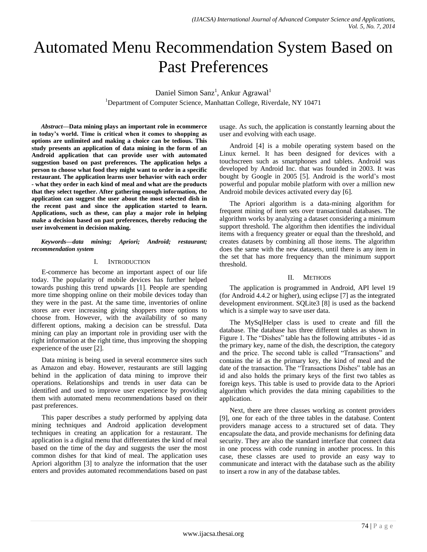# Automated Menu Recommendation System Based on Past Preferences

Daniel Simon Sanz<sup>1</sup>, Ankur Agrawal<sup>1</sup> <sup>1</sup>Department of Computer Science, Manhattan College, Riverdale, NY 10471

*Abstract***—Data mining plays an important role in ecommerce in today's world. Time is critical when it comes to shopping as options are unlimited and making a choice can be tedious. This study presents an application of data mining in the form of an Android application that can provide user with automated suggestion based on past preferences. The application helps a person to choose what food they might want to order in a specific restaurant. The application learns user behavior with each order - what they order in each kind of meal and what are the products that they select together. After gathering enough information, the application can suggest the user about the most selected dish in the recent past and since the application started to learn. Applications, such as these, can play a major role in helping make a decision based on past preferences, thereby reducing the user involvement in decision making.**

*Keywords—data mining; Apriori; Android; restaurant; recommendation system*

## I. INTRODUCTION

E-commerce has become an important aspect of our life today. The popularity of mobile devices has further helped towards pushing this trend upwards [1]. People are spending more time shopping online on their mobile devices today than they were in the past. At the same time, inventories of online stores are ever increasing giving shoppers more options to choose from. However, with the availability of so many different options, making a decision can be stressful. Data mining can play an important role in providing user with the right information at the right time, thus improving the shopping experience of the user [2].

Data mining is being used in several ecommerce sites such as Amazon and ebay. However, restaurants are still lagging behind in the application of data mining to improve their operations. Relationships and trends in user data can be identified and used to improve user experience by providing them with automated menu recommendations based on their past preferences.

This paper describes a study performed by applying data mining techniques and Android application development techniques in creating an application for a restaurant. The application is a digital menu that differentiates the kind of meal based on the time of the day and suggests the user the most common dishes for that kind of meal. The application uses Apriori algorithm [3] to analyze the information that the user enters and provides automated recommendations based on past

usage. As such, the application is constantly learning about the user and evolving with each usage.

Android [4] is a mobile operating system based on the Linux kernel. It has been designed for devices with a touchscreen such as smartphones and tablets. Android was developed by Android Inc. that was founded in 2003. It was bought by Google in 2005 [5]. Android is the world's most powerful and popular mobile platform with over a million new Android mobile devices activated every day [6].

The Apriori algorithm is a data-mining algorithm for frequent mining of item sets over transactional databases. The algorithm works by analyzing a dataset considering a minimum support threshold. The algorithm then identifies the individual items with a frequency greater or equal than the threshold, and creates datasets by combining all those items. The algorithm does the same with the new datasets, until there is any item in the set that has more frequency than the minimum support threshold.

# II. METHODS

The application is programmed in Android, API level 19 (for Android 4.4.2 or higher), using eclipse [7] as the integrated development environment. SQLite3 [8] is used as the backend which is a simple way to save user data.

The MySqlHelper class is used to create and fill the database. The database has three different tables as shown in Figure 1. The "Dishes" table has the following attributes - id as the primary key, name of the dish, the description, the category and the price. The second table is called "Transactions" and contains the id as the primary key, the kind of meal and the date of the transaction. The "Transactions Dishes" table has an id and also holds the primary keys of the first two tables as foreign keys. This table is used to provide data to the Apriori algorithm which provides the data mining capabilities to the application.

Next, there are three classes working as content providers [9], one for each of the three tables in the database. Content providers manage access to a structured set of data. They encapsulate the data, and provide mechanisms for defining data security. They are also the standard interface that connect data in one process with code running in another process. In this case, these classes are used to provide an easy way to communicate and interact with the database such as the ability to insert a row in any of the database tables.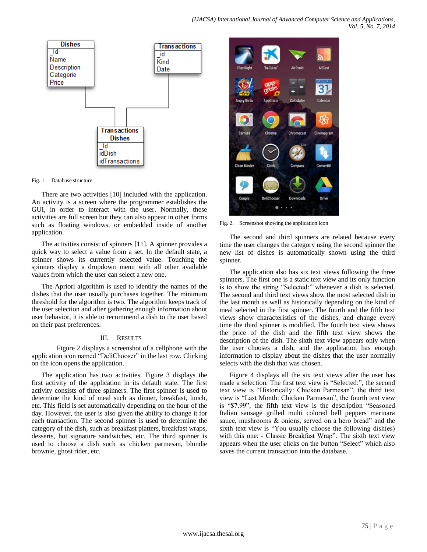

Fig. 1. Database structure

There are two activities [10] included with the application. An activity is a screen where the programmer establishes the GUI, in order to interact with the user. Normally, these activities are full screen but they can also appear in other forms such as floating windows, or embedded inside of another application.

The activities consist of spinners [11]. A spinner provides a quick way to select a value from a set. In the default state, a spinner shows its currently selected value. Touching the spinners display a dropdown menu with all other available values from which the user can select a new one.

The Apriori algorithm is used to identify the names of the dishes that the user usually purchases together. The minimum threshold for the algorithm is two. The algorithm keeps track of the user selection and after gathering enough information about user behavior, it is able to recommend a dish to the user based on their past preferences.

## III. RESULTS

Figure 2 displays a screenshot of a cellphone with the application icon named "DeliChooser" in the last row. Clicking on the icon opens the application.

The application has two activities. Figure 3 displays the first activity of the application in its default state. The first activity consists of three spinners. The first spinner is used to determine the kind of meal such as dinner, breakfast, lunch, etc. This field is set automatically depending on the hour of the day. However, the user is also given the ability to change it for each transaction. The second spinner is used to determine the category of the dish, such as breakfast platters, breakfast wraps, desserts, hot signature sandwiches, etc. The third spinner is used to choose a dish such as chicken parmesan, blondie brownie, ghost rider, etc.



Fig. 2. Screenshot showing the application icon

The second and third spinners are related because every time the user changes the category using the second spinner the new list of dishes is automatically shown using the third spinner.

The application also has six text views following the three spinners. The first one is a static text view and its only function is to show the string "Selected:" whenever a dish is selected. The second and third text views show the most selected dish in the last month as well as historically depending on the kind of meal selected in the first spinner. The fourth and the fifth text views show characteristics of the dishes, and change every time the third spinner is modified. The fourth text view shows the price of the dish and the fifth text view shows the description of the dish. The sixth text view appears only when the user chooses a dish, and the application has enough information to display about the dishes that the user normally selects with the dish that was chosen.

Figure 4 displays all the six text views after the user has made a selection. The first text view is "Selected:", the second text view is "Historically: Chicken Parmesan", the third text view is "Last Month: Chicken Parmesan", the fourth text view is "\$7.99", the fifth text view is the description "Seasoned Italian sausage grilled multi colored bell peppers marinara sauce, mushrooms & onions, served on a hero bread" and the sixth text view is "You usually choose the following dish(es) with this one: - Classic Breakfast Wrap". The sixth text view appears when the user clicks on the button "Select" which also saves the current transaction into the database.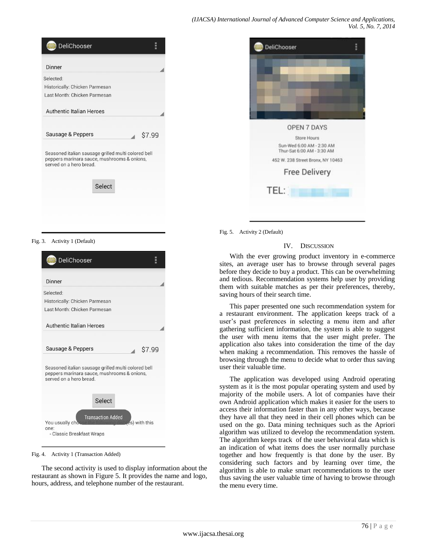| DeliChooser                                                                                                                   |        |
|-------------------------------------------------------------------------------------------------------------------------------|--------|
| Dinner                                                                                                                        |        |
| Selected:                                                                                                                     |        |
| Historically: Chicken Parmesan                                                                                                |        |
| Last Month: Chicken Parmesan                                                                                                  |        |
| <b>Authentic Italian Heroes</b>                                                                                               |        |
| Sausage & Peppers                                                                                                             | \$7.99 |
| Seasoned italian sausage grilled multi colored bell<br>peppers marinara sauce, mushrooms & onions,<br>served on a hero bread. |        |
| Select                                                                                                                        |        |
|                                                                                                                               |        |

| <b>DeliChooser</b>                                      | Ē |
|---------------------------------------------------------|---|
|                                                         |   |
|                                                         |   |
|                                                         |   |
|                                                         |   |
|                                                         |   |
|                                                         |   |
| <b>OPEN 7 DAYS</b>                                      |   |
| Store Hours                                             |   |
| Sun-Wed 6:00 AM - 2:30 AM<br>Thur-Sat 6:00 AM - 3:30 AM |   |
| 452 W. 238 Street Bronx, NY 10463                       |   |
| <b>Free Delivery</b>                                    |   |
|                                                         |   |
| TEL:                                                    |   |

Fig. 3. Activity 1 (Default)

| DeliChooser                                                                                                                   |        |
|-------------------------------------------------------------------------------------------------------------------------------|--------|
| Dinner                                                                                                                        |        |
| Selected:                                                                                                                     |        |
| Historically: Chicken Parmesan                                                                                                |        |
| Last Month: Chicken Parmesan                                                                                                  |        |
| Authentic Italian Heroes                                                                                                      |        |
| Sausage & Peppers                                                                                                             | \$7.99 |
| Seasoned italian sausage grilled multi colored bell<br>peppers marinara sauce, mushrooms & onions,<br>served on a hero bread. |        |
| Select                                                                                                                        |        |
| <b>Transaction Added</b><br>ing dishtes) with this<br>You usually cho<br>one:<br>- Classic Breakfast Wraps                    |        |

Fig. 4. Activity 1 (Transaction Added)

The second activity is used to display information about the restaurant as shown in Figure 5. It provides the name and logo, hours, address, and telephone number of the restaurant.

Fig. 5. Activity 2 (Default)

#### IV. DISCUSSION

With the ever growing product inventory in e-commerce sites, an average user has to browse through several pages before they decide to buy a product. This can be overwhelming and tedious. Recommendation systems help user by providing them with suitable matches as per their preferences, thereby, saving hours of their search time.

This paper presented one such recommendation system for a restaurant environment. The application keeps track of a user's past preferences in selecting a menu item and after gathering sufficient information, the system is able to suggest the user with menu items that the user might prefer. The application also takes into consideration the time of the day when making a recommendation. This removes the hassle of browsing through the menu to decide what to order thus saving user their valuable time.

The application was developed using Android operating system as it is the most popular operating system and used by majority of the mobile users. A lot of companies have their own Android application which makes it easier for the users to access their information faster than in any other ways, because they have all that they need in their cell phones which can be used on the go. Data mining techniques such as the Apriori algorithm was utilized to develop the recommendation system. The algorithm keeps track of the user behavioral data which is an indication of what items does the user normally purchase together and how frequently is that done by the user. By considering such factors and by learning over time, the algorithm is able to make smart recommendations to the user thus saving the user valuable time of having to browse through the menu every time.